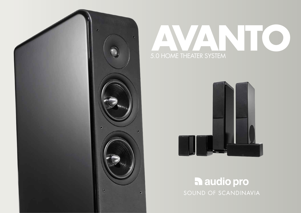

# 5.0 HOME THEATER SYSTEM **AVANTO**



## **h** audio pro SOUND OF SCANDINAVIA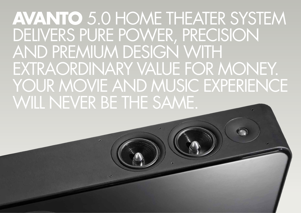**AVANTO** 5.0 HOME THEATER SYSTEM DELIVERS PURE POWER, PRECISION AND PREMIUM DESIGN WITH EXTRAORDINARY VALUE FOR MONEY. YOUR MOVIE AND MUSIC EXPERIENCE WILL NEVER BE THE SAME.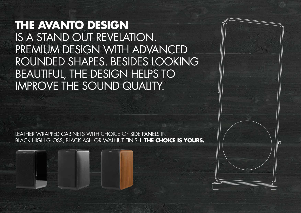**THE AVANTO DESIGN** IS A STAND OUT REVELATION. PREMIUM DESIGN WITH ADVANCED ROUNDED SHAPES. BESIDES LOOKING BEAUTIFUL, THE DESIGN HELPS TO IMPROVE THE SOUND QUALITY.

LEATHER WRAPPED CABINETS WITH CHOICE OF SIDE PANELS IN BLACK HIGH GLOSS, BLACK ASH OR WALNUT FINISH. **THE CHOICE IS YOURS.**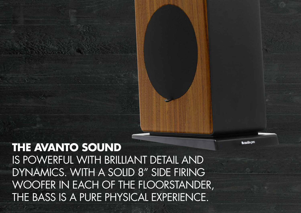ng oibus *e* 

## **THE AVANTO SOUND** IS POWERFUL WITH BRILLIANT DETAIL AND DYNAMICS. WITH A SOLID 8" SIDE FIRING WOOFER IN EACH OF THE FLOORSTANDER, THE BASS IS A PURE PHYSICAL EXPERIENCE.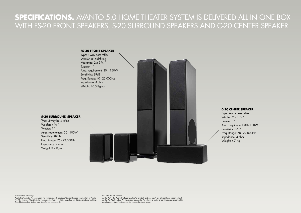### **SPECIFICATIONS.** AVANTO 5.0 HOME THEATER SYSTEM IS DELIVERED ALL IN ONE BOX WITH FS-20 FRONT SPEAKERS, S-20 SURROUND SPEAKERS AND C-20 CENTER SPEAKER.



#### **C-20 CENTER SPEAKER**

Type: 2-way bass reflex Woofer:  $2 \times 4$  1/2" Tweeter: 1" Amp. requirement: 30 - 100W Sensitivity: 87dB Freq. Range: 70 - 22.000Hz Impedance: 4 ohm Weight: 4.7 Kg

#### © Audio Pro AB Sverige

Audio Pro® , Audio Pro logotypen, 'a' symbolen, och ace-bass® är registrerade varumärken av Audio Pro AB, Sverige. Alla rättigheter reserverade. Audio Pro följer en policy om ständig produktutveckling. Specifikationer kan ändras utan föregående meddelande.

© Audio Pro AB Sweden Audio Pro® , the Audio Pro logotype, the 'a' symbol, and ace-bass® are all registered trademarks of Audio Pro AB, Sweden. All rights reserved. Audio Pro follows a policy of continuous advancement in development. Specifications may be changed without notice.